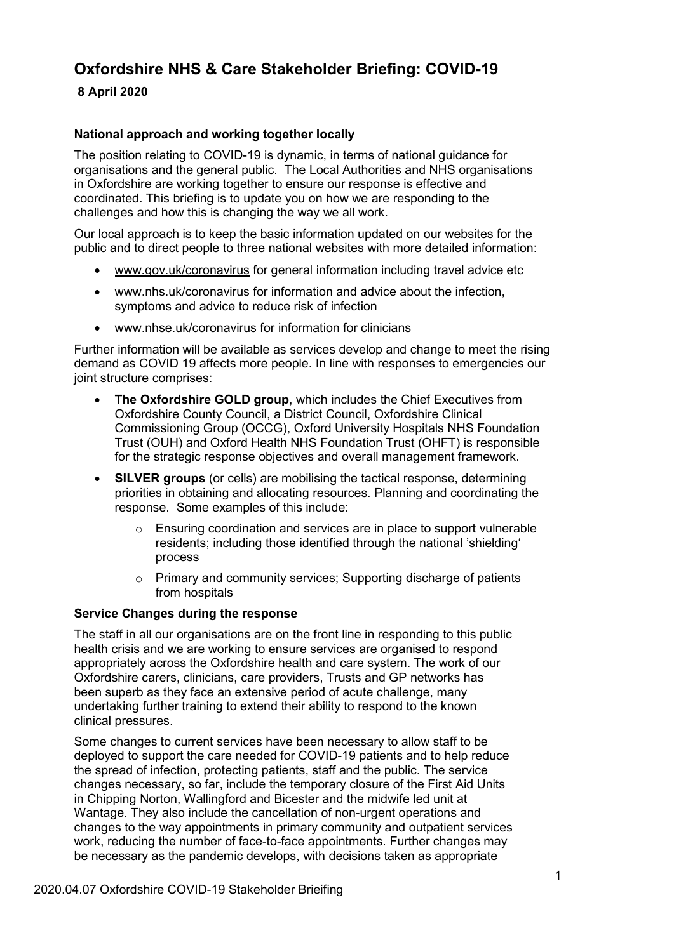# **Oxfordshire NHS & Care Stakeholder Briefing: COVID-19**

# **8 April 2020**

## **National approach and working together locally**

The position relating to COVID-19 is dynamic, in terms of national guidance for organisations and the general public. The Local Authorities and NHS organisations in Oxfordshire are working together to ensure our response is effective and coordinated. This briefing is to update you on how we are responding to the challenges and how this is changing the way we all work.

Our local approach is to keep the basic information updated on our websites for the public and to direct people to three national websites with more detailed information:

- [www.gov.uk/coronavirus](http://www.gov.uk/coronavirus) for general information including travel advice etc
- [www.nhs.uk/coronavirus](http://www.nhs.uk/coronavirus) for information and advice about the infection, symptoms and advice to reduce risk of infection
- [www.nhse.uk/coronavirus](http://www.nhse.uk/coronavirus) for information for clinicians

Further information will be available as services develop and change to meet the rising demand as COVID 19 affects more people. In line with responses to emergencies our joint structure comprises:

- **The Oxfordshire GOLD group**, which includes the Chief Executives from Oxfordshire County Council, a District Council, Oxfordshire Clinical Commissioning Group (OCCG), Oxford University Hospitals NHS Foundation Trust (OUH) and Oxford Health NHS Foundation Trust (OHFT) is responsible for the strategic response objectives and overall management framework.
- **SILVER groups** (or cells) are mobilising the tactical response, determining priorities in obtaining and allocating resources. Planning and coordinating the response. Some examples of this include:
	- o Ensuring coordination and services are in place to support vulnerable residents; including those identified through the national 'shielding' process
	- o Primary and community services; Supporting discharge of patients from hospitals

#### **Service Changes during the response**

The staff in all our organisations are on the front line in responding to this public health crisis and we are working to ensure services are organised to respond appropriately across the Oxfordshire health and care system. The work of our Oxfordshire carers, clinicians, care providers, Trusts and GP networks has been superb as they face an extensive period of acute challenge, many undertaking further training to extend their ability to respond to the known clinical pressures.

Some changes to current services have been necessary to allow staff to be deployed to support the care needed for COVID-19 patients and to help reduce the spread of infection, protecting patients, staff and the public. The service changes necessary, so far, include the temporary closure of the First Aid Units in Chipping Norton, Wallingford and Bicester and the midwife led unit at Wantage. They also include the cancellation of non-urgent operations and changes to the way appointments in primary community and outpatient services work, reducing the number of face-to-face appointments. Further changes may be necessary as the pandemic develops, with decisions taken as appropriate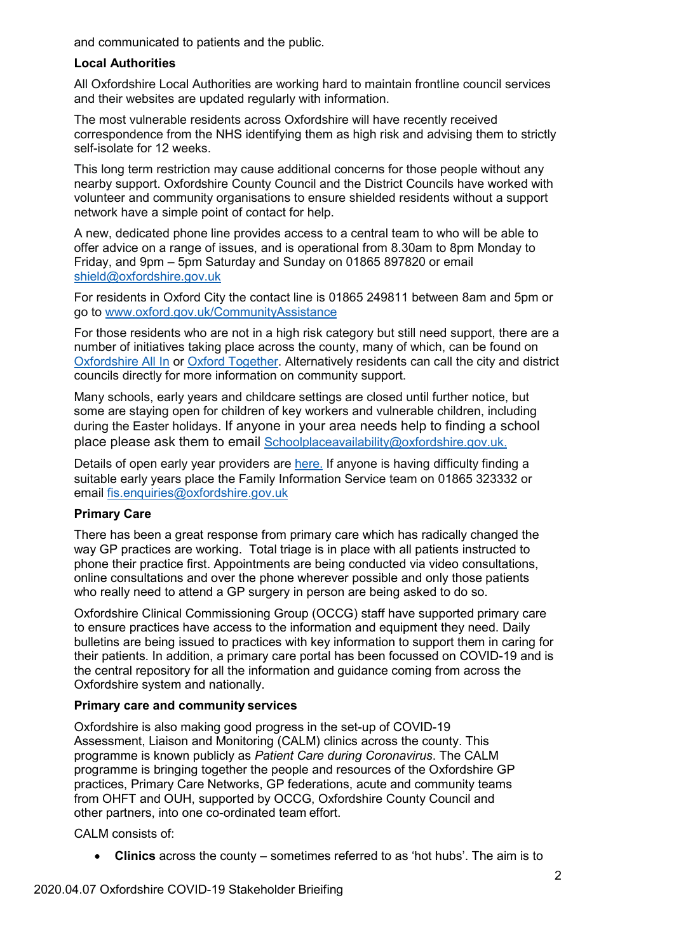and communicated to patients and the public.

## **Local Authorities**

All Oxfordshire Local Authorities are working hard to maintain frontline council services and their websites are updated regularly with information.

The most vulnerable residents across Oxfordshire will have recently received correspondence from the NHS identifying them as high risk and advising them to strictly self-isolate for 12 weeks.

This long term restriction may cause additional concerns for those people without any nearby support. Oxfordshire County Council and the District Councils have worked with volunteer and community organisations to ensure shielded residents without a support network have a simple point of contact for help.

A new, dedicated phone line provides access to a central team to who will be able to offer advice on a range of issues, and is operational from 8.30am to 8pm Monday to Friday, and 9pm – 5pm Saturday and Sunday on 01865 897820 or email [shield@oxfordshire.gov.uk](mailto:shield@oxfordshire.gov.uk)

For residents in Oxford City the contact line is 01865 249811 between 8am and 5pm or go to [www.oxford.gov.uk/CommunityAssistance](http://www.oxford.gov.uk/CommunityAssistance)

For those residents who are not in a high risk category but still need support, there are a number of initiatives taking place across the county, many of which, can be found on [Oxfordshire All In](https://www.oxfordshireallin.org/) or [Oxford Together.](https://www.oxfordhub.org/oxford-together) Alternatively residents can call the city and district councils directly for more information on community support.

Many schools, early years and childcare settings are closed until further notice, but some are staying open for children of key workers and vulnerable children, including during the Easter holidays. If anyone in your area needs help to finding a school place please ask them to email [Schoolplaceavailability@oxfordshire.gov.uk](mailto:Schoolplaceavailability@oxfordshire.gov.uk).

Details of open early year providers are [here](https://fisd.oxfordshire.gov.uk/kb5/oxfordshire/directory/advice.page?id=xLH8ccuz2gs). If anyone is having difficulty finding a suitable early years place the Family Information Service team on 01865 323332 or email [fis.enquiries@oxfordshire.gov.uk](mailto:fis.enquiries@oxfordshire.gov.uk)

# **Primary Care**

There has been a great response from primary care which has radically changed the way GP practices are working. Total triage is in place with all patients instructed to phone their practice first. Appointments are being conducted via video consultations, online consultations and over the phone wherever possible and only those patients who really need to attend a GP surgery in person are being asked to do so.

Oxfordshire Clinical Commissioning Group (OCCG) staff have supported primary care to ensure practices have access to the information and equipment they need. Daily bulletins are being issued to practices with key information to support them in caring for their patients. In addition, a primary care portal has been focussed on COVID-19 and is the central repository for all the information and guidance coming from across the Oxfordshire system and nationally.

# **Primary care and community services**

Oxfordshire is also making good progress in the set-up of COVID-19 Assessment, Liaison and Monitoring (CALM) clinics across the county. This programme is known publicly as *Patient Care during Coronavirus*. The CALM programme is bringing together the people and resources of the Oxfordshire GP practices, Primary Care Networks, GP federations, acute and community teams from OHFT and OUH, supported by OCCG, Oxfordshire County Council and other partners, into one co-ordinated team effort.

CALM consists of:

• **Clinics** across the county – sometimes referred to as 'hot hubs'. The aim is to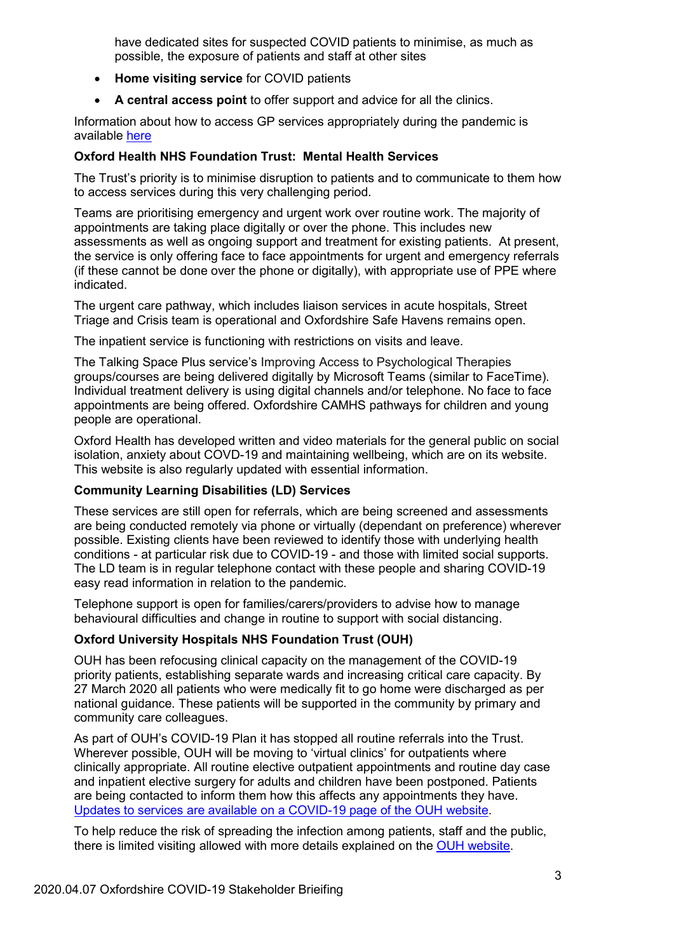have dedicated sites for suspected COVID patients to minimise, as much as possible, the exposure of patients and staff at other sites

- **Home visiting service** for COVID patients
- **A central access point** to offer support and advice for all the clinics.

Information about how to access GP services appropriately during the pandemic is available [here](https://www.oxfordshireccg.nhs.uk/news/save-lives-stay-at-home-and-use-nhs-services-responsibly-during-the-coronavirus-pandemic/107438)

## **Oxford Health NHS Foundation Trust: Mental Health Services**

The Trust's priority is to minimise disruption to patients and to communicate to them how to access services during this very challenging period.

Teams are prioritising emergency and urgent work over routine work. The majority of appointments are taking place digitally or over the phone. This includes new assessments as well as ongoing support and treatment for existing patients. At present, the service is only offering face to face appointments for urgent and emergency referrals (if these cannot be done over the phone or digitally), with appropriate use of PPE where indicated.

The urgent care pathway, which includes liaison services in acute hospitals, Street Triage and Crisis team is operational and Oxfordshire Safe Havens remains open.

The inpatient service is functioning with restrictions on visits and leave.

The Talking Space Plus service's Improving Access to Psychological Therapies groups/courses are being delivered digitally by Microsoft Teams (similar to FaceTime). Individual treatment delivery is using digital channels and/or telephone. No face to face appointments are being offered. Oxfordshire CAMHS pathways for children and young people are operational.

Oxford Health has developed written and video materials for the general public on social isolation, anxiety about COVD-19 and maintaining wellbeing, which are on its website. This website is also regularly updated with essential information.

#### **Community Learning Disabilities (LD) Services**

These services are still open for referrals, which are being screened and assessments are being conducted remotely via phone or virtually (dependant on preference) wherever possible. Existing clients have been reviewed to identify those with underlying health conditions - at particular risk due to COVID-19 - and those with limited social supports. The LD team is in regular telephone contact with these people and sharing COVID-19 easy read information in relation to the pandemic.

Telephone support is open for families/carers/providers to advise how to manage behavioural difficulties and change in routine to support with social distancing.

# **Oxford University Hospitals NHS Foundation Trust (OUH)**

OUH has been refocusing clinical capacity on the management of the COVID-19 priority patients, establishing separate wards and increasing critical care capacity. By 27 March 2020 all patients who were medically fit to go home were discharged as per national guidance. These patients will be supported in the community by primary and community care colleagues.

As part of OUH's COVID-19 Plan it has stopped all routine referrals into the Trust. Wherever possible, OUH will be moving to 'virtual clinics' for outpatients where clinically appropriate. All routine elective outpatient appointments and routine day case and inpatient elective surgery for adults and children have been postponed. Patients are being contacted to inform them how this affects any appointments they have. [Updates to services are available on a COVID-19 page of the OUH website.](https://www.ouh.nhs.uk/covid-19/)

To help reduce the risk of spreading the infection among patients, staff and the public, there is limited visiting allowed with more details explained on the OUH website.